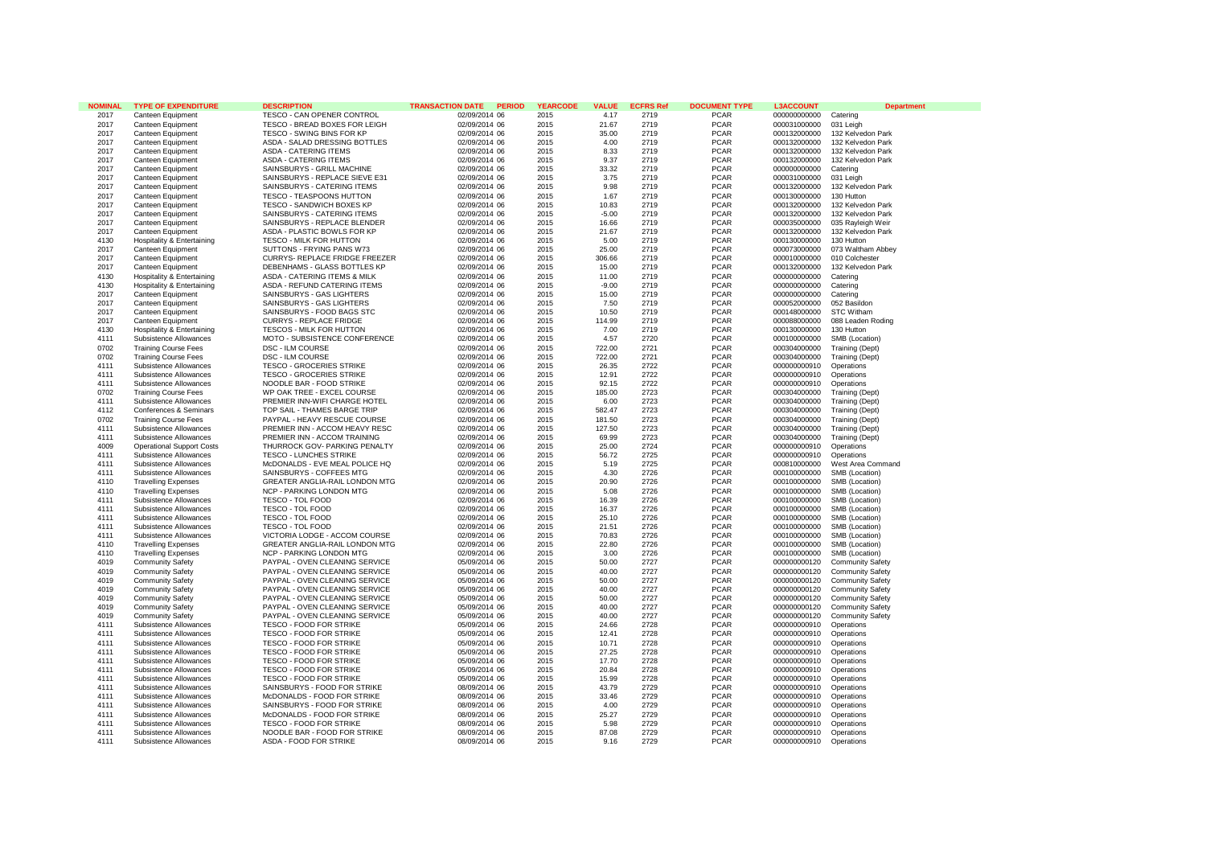| <b>NOMINAL</b> | <b>TYPE OF EXPENDITURE</b>            | <b>DESCRIPTION</b>              | <b>TRANSACTION DATE</b><br><b>PERIOD</b> | <b>YEARCODE</b> | <b>VALUE</b> | <b>ECFRS Ref</b> | <b>DOCUMENT TYPE</b> | <b>L3ACCOUNT</b> | <b>Department</b>       |
|----------------|---------------------------------------|---------------------------------|------------------------------------------|-----------------|--------------|------------------|----------------------|------------------|-------------------------|
| 2017           | Canteen Equipment                     | TESCO - CAN OPENER CONTROL      | 02/09/2014 06                            | 2015            | 4.17         | 2719             | <b>PCAR</b>          | 000000000000     | Catering                |
| 2017           | Canteen Equipment                     | TESCO - BREAD BOXES FOR LEIGH   | 02/09/2014 06                            | 2015            | 21.67        | 2719             | <b>PCAR</b>          | 000031000000     | 031 Leigh               |
| 2017           | Canteen Equipment                     | TESCO - SWING BINS FOR KP       | 02/09/2014 06                            | 2015            | 35.00        | 2719             | <b>PCAR</b>          | 000132000000     | 132 Kelvedon Park       |
| 2017           | Canteen Equipment                     | ASDA - SALAD DRESSING BOTTLES   | 02/09/2014 06                            | 2015            | 4.00         | 2719             | <b>PCAR</b>          | 000132000000     | 132 Kelvedon Park       |
| 2017           | Canteen Equipment                     | <b>ASDA - CATERING ITEMS</b>    | 02/09/2014 06                            | 2015            | 8.33         | 2719             | <b>PCAR</b>          | 000132000000     | 132 Kelvedon Park       |
| 2017           | Canteen Equipment                     | <b>ASDA - CATERING ITEMS</b>    | 02/09/2014 06                            | 2015            | 9.37         | 2719             | <b>PCAR</b>          | 000132000000     | 132 Kelvedon Park       |
| 2017           | Canteen Equipment                     | SAINSBURYS - GRILL MACHINE      | 02/09/2014 06                            | 2015            | 33.32        | 2719             | <b>PCAR</b>          | 000000000000     | Catering                |
|                |                                       |                                 |                                          |                 |              | 2719             | <b>PCAR</b>          |                  |                         |
| 2017           | Canteen Equipment                     | SAINSBURYS - REPLACE SIEVE E31  | 02/09/2014 06                            | 2015            | 3.75         |                  |                      | 000031000000     | 031 Leigh               |
| 2017           | Canteen Equipment                     | SAINSBURYS - CATERING ITEMS     | 02/09/2014 06                            | 2015            | 9.98         | 2719             | <b>PCAR</b>          | 000132000000     | 132 Kelvedon Park       |
| 2017           | Canteen Equipment                     | <b>TESCO - TEASPOONS HUTTON</b> | 02/09/2014 06                            | 2015            | 1.67         | 2719             | <b>PCAR</b>          | 000130000000     | 130 Hutton              |
| 2017           | Canteen Equipment                     | TESCO - SANDWICH BOXES KP       | 02/09/2014 06                            | 2015            | 10.83        | 2719             | <b>PCAR</b>          | 000132000000     | 132 Kelvedon Park       |
| 2017           | Canteen Equipment                     | SAINSBURYS - CATERING ITEMS     | 02/09/2014 06                            | 2015            | $-5.00$      | 2719             | <b>PCAR</b>          | 000132000000     | 132 Kelvedon Park       |
| 2017           | Canteen Equipment                     | SAINSBURYS - REPLACE BLENDER    | 02/09/2014 06                            | 2015            | 16.66        | 2719             | <b>PCAR</b>          | 000035000000     | 035 Rayleigh Weir       |
| 2017           | Canteen Equipment                     | ASDA - PLASTIC BOWLS FOR KP     | 02/09/2014 06                            | 2015            | 21.67        | 2719             | <b>PCAR</b>          | 000132000000     | 132 Kelvedon Park       |
| 4130           | Hospitality & Entertaining            | TESCO - MILK FOR HUTTON         | 02/09/2014 06                            | 2015            | 5.00         | 2719             | <b>PCAR</b>          | 000130000000     | 130 Hutton              |
| 2017           | Canteen Equipment                     | SUTTONS - FRYING PANS W73       | 02/09/2014 06                            | 2015            | 25.00        | 2719             | <b>PCAR</b>          | 000073000000     | 073 Waltham Abbey       |
| 2017           | Canteen Equipment                     | CURRYS- REPLACE FRIDGE FREEZER  | 02/09/2014 06                            | 2015            | 306.66       | 2719             | <b>PCAR</b>          | 000010000000     | 010 Colchester          |
| 2017           | Canteen Equipment                     | DEBENHAMS - GLASS BOTTLES KP    | 02/09/2014 06                            | 2015            | 15.00        | 2719             | <b>PCAR</b>          | 000132000000     | 132 Kelvedon Park       |
|                |                                       |                                 |                                          |                 |              |                  |                      |                  |                         |
| 4130           | Hospitality & Entertaining            | ASDA - CATERING ITEMS & MILK    | 02/09/2014 06                            | 2015            | 11.00        | 2719             | <b>PCAR</b>          | 000000000000     | Catering                |
| 4130           | <b>Hospitality &amp; Entertaining</b> | ASDA - REFUND CATERING ITEMS    | 02/09/2014 06                            | 2015            | $-9.00$      | 2719             | <b>PCAR</b>          | 000000000000     | Catering                |
| 2017           | Canteen Equipment                     | SAINSBURYS - GAS LIGHTERS       | 02/09/2014 06                            | 2015            | 15.00        | 2719             | <b>PCAR</b>          | 000000000000     | Catering                |
| 2017           | Canteen Equipment                     | SAINSBURYS - GAS LIGHTERS       | 02/09/2014 06                            | 2015            | 7.50         | 2719             | <b>PCAR</b>          | 000052000000     | 052 Basildon            |
| 2017           | Canteen Equipment                     | SAINSBURYS - FOOD BAGS STC      | 02/09/2014 06                            | 2015            | 10.50        | 2719             | <b>PCAR</b>          | 000148000000     | <b>STC Witham</b>       |
| 2017           | Canteen Equipment                     | <b>CURRYS - REPLACE FRIDGE</b>  | 02/09/2014 06                            | 2015            | 114.99       | 2719             | <b>PCAR</b>          | 000088000000     | 088 Leaden Roding       |
| 4130           | <b>Hospitality &amp; Entertaining</b> | TESCOS - MILK FOR HUTTON        | 02/09/2014 06                            | 2015            | 7.00         | 2719             | <b>PCAR</b>          | 000130000000     | 130 Hutton              |
| 4111           | Subsistence Allowances                | MOTO - SUBSISTENCE CONFERENCE   | 02/09/2014 06                            | 2015            | 4.57         | 2720             | <b>PCAR</b>          | 000100000000     | SMB (Location)          |
| 0702           | <b>Training Course Fees</b>           | <b>DSC - ILM COURSE</b>         | 02/09/2014 06                            | 2015            | 722.00       | 2721             | <b>PCAR</b>          | 000304000000     | Training (Dept)         |
| 0702           | <b>Training Course Fees</b>           | DSC - ILM COURSE                | 02/09/2014 06                            | 2015            | 722.00       | 2721             | <b>PCAR</b>          | 000304000000     | Training (Dept)         |
|                |                                       |                                 |                                          |                 |              |                  |                      |                  |                         |
| 4111           | Subsistence Allowances                | <b>TESCO - GROCERIES STRIKE</b> | 02/09/2014 06                            | 2015            | 26.35        | 2722             | <b>PCAR</b>          | 000000000910     | Operations              |
| 4111           | Subsistence Allowances                | <b>TESCO - GROCERIES STRIKE</b> | 02/09/2014 06                            | 2015            | 12.91        | 2722             | <b>PCAR</b>          | 000000000910     | Operations              |
| 4111           | Subsistence Allowances                | NOODLE BAR - FOOD STRIKE        | 02/09/2014 06                            | 2015            | 92.15        | 2722             | <b>PCAR</b>          | 000000000910     | Operations              |
| 0702           | <b>Training Course Fees</b>           | WP OAK TREE - EXCEL COURSE      | 02/09/2014 06                            | 2015            | 185.00       | 2723             | <b>PCAR</b>          | 000304000000     | Training (Dept)         |
| 4111           | Subsistence Allowances                | PREMIER INN-WIFI CHARGE HOTEL   | 02/09/2014 06                            | 2015            | 6.00         | 2723             | <b>PCAR</b>          | 000304000000     | Training (Dept)         |
| 4112           | Conferences & Seminars                | TOP SAIL - THAMES BARGE TRIP    | 02/09/2014 06                            | 2015            | 582.47       | 2723             | <b>PCAR</b>          | 000304000000     | Training (Dept)         |
| 0702           | <b>Training Course Fees</b>           | PAYPAL - HEAVY RESCUE COURSE    | 02/09/2014 06                            | 2015            | 181.50       | 2723             | <b>PCAR</b>          | 000304000000     | Training (Dept)         |
| 4111           | Subsistence Allowances                | PREMIER INN - ACCOM HEAVY RESC  | 02/09/2014 06                            | 2015            | 127.50       | 2723             | <b>PCAR</b>          | 000304000000     | Training (Dept)         |
| 4111           | Subsistence Allowances                | PREMIER INN - ACCOM TRAINING    | 02/09/2014 06                            | 2015            | 69.99        | 2723             | <b>PCAR</b>          | 000304000000     | Training (Dept)         |
| 4009           | <b>Operational Support Costs</b>      | THURROCK GOV- PARKING PENALTY   | 02/09/2014 06                            | 2015            | 25.00        | 2724             | <b>PCAR</b>          | 000000000910     | Operations              |
| 4111           | Subsistence Allowances                | <b>TESCO - LUNCHES STRIKE</b>   | 02/09/2014 06                            | 2015            | 56.72        | 2725             | <b>PCAR</b>          | 000000000910     | Operations              |
| 4111           | Subsistence Allowances                | McDONALDS - EVE MEAL POLICE HQ  | 02/09/2014 06                            | 2015            | 5.19         | 2725             | <b>PCAR</b>          | 000810000000     | West Area Command       |
|                |                                       |                                 |                                          |                 |              |                  |                      |                  |                         |
| 4111           | Subsistence Allowances                | SAINSBURYS - COFFEES MTG        | 02/09/2014 06                            | 2015            | 4.30         | 2726             | <b>PCAR</b>          | 000100000000     | SMB (Location)          |
| 4110           | <b>Travelling Expenses</b>            | GREATER ANGLIA-RAIL LONDON MTG  | 02/09/2014 06                            | 2015            | 20.90        | 2726             | <b>PCAR</b>          | 000100000000     | SMB (Location)          |
| 4110           | <b>Travelling Expenses</b>            | NCP - PARKING LONDON MTG        | 02/09/2014 06                            | 2015            | 5.08         | 2726             | <b>PCAR</b>          | 000100000000     | SMB (Location)          |
| 4111           | Subsistence Allowances                | TESCO - TOL FOOD                | 02/09/2014 06                            | 2015            | 16.39        | 2726             | <b>PCAR</b>          | 000100000000     | SMB (Location)          |
| 4111           | Subsistence Allowances                | TESCO - TOL FOOD                | 02/09/2014 06                            | 2015            | 16.37        | 2726             | <b>PCAR</b>          | 000100000000     | SMB (Location)          |
| 4111           | Subsistence Allowances                | TESCO - TOL FOOD                | 02/09/2014 06                            | 2015            | 25.10        | 2726             | <b>PCAR</b>          | 000100000000     | SMB (Location)          |
| 4111           | Subsistence Allowances                | TESCO - TOL FOOD                | 02/09/2014 06                            | 2015            | 21.51        | 2726             | <b>PCAR</b>          | 000100000000     | SMB (Location)          |
| 4111           | Subsistence Allowances                | VICTORIA LODGE - ACCOM COURSE   | 02/09/2014 06                            | 2015            | 70.83        | 2726             | <b>PCAR</b>          | 000100000000     | SMB (Location)          |
| 4110           | <b>Travelling Expenses</b>            | GREATER ANGLIA-RAIL LONDON MTG  | 02/09/2014 06                            | 2015            | 22.80        | 2726             | <b>PCAR</b>          | 000100000000     | SMB (Location)          |
| 4110           | <b>Travelling Expenses</b>            | NCP - PARKING LONDON MTG        | 02/09/2014 06                            | 2015            | 3.00         | 2726             | <b>PCAR</b>          | 000100000000     | SMB (Location)          |
| 4019           | <b>Community Safety</b>               | PAYPAL - OVEN CLEANING SERVICE  | 05/09/2014 06                            | 2015            | 50.00        | 2727             | <b>PCAR</b>          | 000000000120     | <b>Community Safety</b> |
| 4019           | <b>Community Safety</b>               | PAYPAL - OVEN CLEANING SERVICE  | 05/09/2014 06                            | 2015            | 40.00        | 2727             | <b>PCAR</b>          | 000000000120     | <b>Community Safety</b> |
|                |                                       |                                 |                                          |                 |              |                  |                      |                  |                         |
| 4019           | <b>Community Safety</b>               | PAYPAL - OVEN CLEANING SERVICE  | 05/09/2014 06                            | 2015            | 50.00        | 2727             | <b>PCAR</b>          | 000000000120     | <b>Community Safety</b> |
| 4019           | <b>Community Safety</b>               | PAYPAL - OVEN CLEANING SERVICE  | 05/09/2014 06                            | 2015            | 40.00        | 2727             | <b>PCAR</b>          | 000000000120     | <b>Community Safety</b> |
| 4019           | <b>Community Safety</b>               | PAYPAL - OVEN CLEANING SERVICE  | 05/09/2014 06                            | 2015            | 50.00        | 2727             | <b>PCAR</b>          | 000000000120     | <b>Community Safety</b> |
| 4019           | <b>Community Safety</b>               | PAYPAL - OVEN CLEANING SERVICE  | 05/09/2014 06                            | 2015            | 40.00        | 2727             | <b>PCAR</b>          | 000000000120     | <b>Community Safety</b> |
| 4019           | <b>Community Safety</b>               | PAYPAL - OVEN CLEANING SERVICE  | 05/09/2014 06                            | 2015            | 40.00        | 2727             | <b>PCAR</b>          | 000000000120     | <b>Community Safety</b> |
| 4111           | Subsistence Allowances                | TESCO - FOOD FOR STRIKE         | 05/09/2014 06                            | 2015            | 24.66        | 2728             | <b>PCAR</b>          | 000000000910     | Operations              |
| 4111           | Subsistence Allowances                | <b>TESCO - FOOD FOR STRIKE</b>  | 05/09/2014 06                            | 2015            | 12.41        | 2728             | <b>PCAR</b>          | 000000000910     | Operations              |
| 4111           | Subsistence Allowances                | TESCO - FOOD FOR STRIKE         | 05/09/2014 06                            | 2015            | 10.71        | 2728             | <b>PCAR</b>          | 000000000910     | Operations              |
| 4111           | Subsistence Allowances                | TESCO - FOOD FOR STRIKE         | 05/09/2014 06                            | 2015            | 27.25        | 2728             | <b>PCAR</b>          | 000000000910     | Operations              |
|                |                                       | TESCO - FOOD FOR STRIKE         |                                          | 2015            |              | 2728             | <b>PCAR</b>          | 000000000910     |                         |
| 4111           | Subsistence Allowances                |                                 | 05/09/2014 06                            |                 | 17.70        |                  |                      |                  | Operations              |
| 4111           | Subsistence Allowances                | <b>TESCO - FOOD FOR STRIKE</b>  | 05/09/2014 06                            | 2015            | 20.84        | 2728             | <b>PCAR</b>          | 000000000910     | Operations              |
| 4111           | Subsistence Allowances                | TESCO - FOOD FOR STRIKE         | 05/09/2014 06                            | 2015            | 15.99        | 2728             | <b>PCAR</b>          | 000000000910     | Operations              |
| 4111           | Subsistence Allowances                | SAINSBURYS - FOOD FOR STRIKE    | 08/09/2014 06                            | 2015            | 43.79        | 2729             | <b>PCAR</b>          | 000000000910     | Operations              |
| 4111           | Subsistence Allowances                | McDONALDS - FOOD FOR STRIKE     | 08/09/2014 06                            | 2015            | 33.46        | 2729             | <b>PCAR</b>          | 000000000910     | Operations              |
| 4111           | Subsistence Allowances                | SAINSBURYS - FOOD FOR STRIKE    | 08/09/2014 06                            | 2015            | 4.00         | 2729             | <b>PCAR</b>          | 000000000910     | Operations              |
| 4111           | Subsistence Allowances                | McDONALDS - FOOD FOR STRIKE     | 08/09/2014 06                            | 2015            | 25.27        | 2729             | <b>PCAR</b>          | 000000000910     | Operations              |
| 4111           | Subsistence Allowances                | <b>TESCO - FOOD FOR STRIKE</b>  | 08/09/2014 06                            | 2015            | 5.98         | 2729             | <b>PCAR</b>          | 000000000910     | Operations              |
| 4111           | Subsistence Allowances                | NOODLE BAR - FOOD FOR STRIKE    | 08/09/2014 06                            | 2015            | 87.08        | 2729             | <b>PCAR</b>          | 000000000910     | Operations              |
| 4111           | Subsistence Allowances                | ASDA - FOOD FOR STRIKE          | 08/09/2014 06                            | 2015            | 9.16         | 2729             | <b>PCAR</b>          | 000000000910     | Operations              |
|                |                                       |                                 |                                          |                 |              |                  |                      |                  |                         |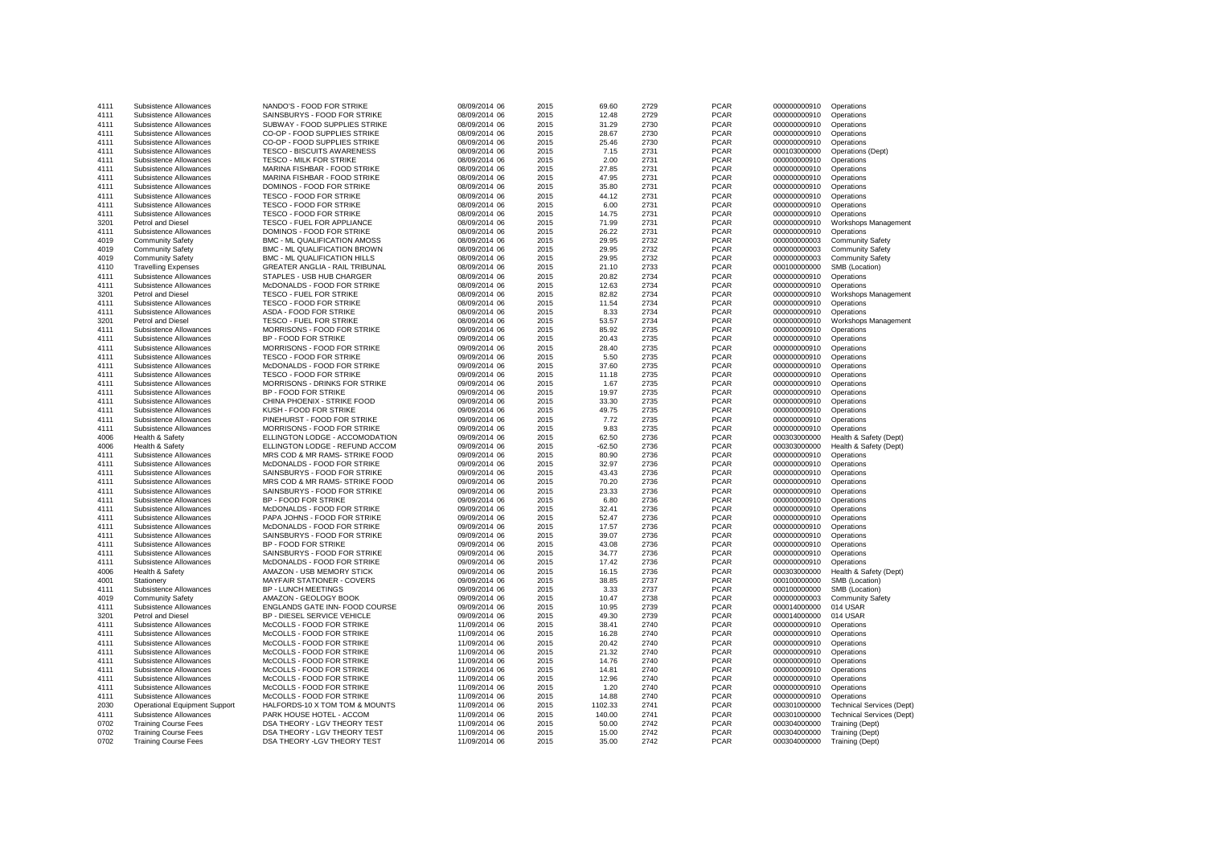| 4111 | Subsistence Allowances               | NANDO'S - FOOD FOR STRIKE         | 08/09/2014 06 | 2015 | 69.60    | 2729 | <b>PCAR</b> | 000000000910 | Operations                       |
|------|--------------------------------------|-----------------------------------|---------------|------|----------|------|-------------|--------------|----------------------------------|
| 4111 | Subsistence Allowances               | SAINSBURYS - FOOD FOR STRIKE      | 08/09/2014 06 | 2015 | 12.48    | 2729 | <b>PCAR</b> | 000000000910 | Operations                       |
| 4111 | Subsistence Allowances               | SUBWAY - FOOD SUPPLIES STRIKE     | 08/09/2014 06 | 2015 | 31.29    | 2730 | <b>PCAR</b> | 000000000910 | Operations                       |
|      |                                      |                                   |               |      |          |      | <b>PCAR</b> |              |                                  |
| 4111 | Subsistence Allowances               | CO-OP - FOOD SUPPLIES STRIKE      | 08/09/2014 06 | 2015 | 28.67    | 2730 |             | 000000000910 | Operations                       |
| 4111 | Subsistence Allowances               | CO-OP - FOOD SUPPLIES STRIKE      | 08/09/2014 06 | 2015 | 25.46    | 2730 | <b>PCAR</b> | 000000000910 | Operations                       |
| 4111 | Subsistence Allowances               | <b>TESCO - BISCUITS AWARENESS</b> | 08/09/2014 06 | 2015 | 7.15     | 2731 | <b>PCAR</b> | 000103000000 | Operations (Dept)                |
| 4111 | Subsistence Allowances               | TESCO - MILK FOR STRIKE           | 08/09/2014 06 | 2015 | 2.00     | 2731 | <b>PCAR</b> | 000000000910 | Operations                       |
| 4111 | Subsistence Allowances               | MARINA FISHBAR - FOOD STRIKE      | 08/09/2014 06 | 2015 | 27.85    | 2731 | <b>PCAR</b> | 000000000910 | Operations                       |
| 4111 | Subsistence Allowances               | MARINA FISHBAR - FOOD STRIKE      | 08/09/2014 06 | 2015 | 47.95    | 2731 | <b>PCAR</b> | 000000000910 | Operations                       |
| 4111 | Subsistence Allowances               | DOMINOS - FOOD FOR STRIKE         | 08/09/2014 06 | 2015 | 35.80    | 2731 | <b>PCAR</b> | 000000000910 | Operations                       |
| 4111 | Subsistence Allowances               | TESCO - FOOD FOR STRIKE           | 08/09/2014 06 | 2015 | 44.12    | 2731 | <b>PCAR</b> | 000000000910 | Operations                       |
| 4111 | Subsistence Allowances               | TESCO - FOOD FOR STRIKE           | 08/09/2014 06 | 2015 | 6.00     | 2731 | <b>PCAR</b> | 000000000910 | Operations                       |
| 4111 | Subsistence Allowances               | <b>TESCO - FOOD FOR STRIKE</b>    | 08/09/2014 06 | 2015 | 14.75    | 2731 | <b>PCAR</b> | 000000000910 | Operations                       |
| 3201 | Petrol and Diesel                    | <b>TESCO - FUEL FOR APPLIANCE</b> | 08/09/2014 06 | 2015 | 71.99    | 2731 | <b>PCAR</b> | 000000000910 | Workshops Management             |
| 4111 | Subsistence Allowances               | DOMINOS - FOOD FOR STRIKE         | 08/09/2014 06 | 2015 | 26.22    | 2731 | <b>PCAR</b> | 000000000910 | Operations                       |
| 4019 | <b>Community Safety</b>              | BMC - ML QUALIFICATION AMOSS      | 08/09/2014 06 | 2015 | 29.95    | 2732 | <b>PCAR</b> | 000000000003 | <b>Community Safety</b>          |
| 4019 |                                      | BMC - ML QUALIFICATION BROWN      |               | 2015 | 29.95    | 2732 | <b>PCAR</b> | 000000000003 |                                  |
|      | <b>Community Safety</b>              |                                   | 08/09/2014 06 |      |          |      |             |              | <b>Community Safety</b>          |
| 4019 | <b>Community Safety</b>              | BMC - ML QUALIFICATION HILLS      | 08/09/2014 06 | 2015 | 29.95    | 2732 | <b>PCAR</b> | 000000000003 | <b>Community Safety</b>          |
| 4110 | <b>Travelling Expenses</b>           | GREATER ANGLIA - RAIL TRIBUNAL    | 08/09/2014 06 | 2015 | 21.10    | 2733 | <b>PCAR</b> | 000100000000 | SMB (Location)                   |
| 4111 | Subsistence Allowances               | STAPLES - USB HUB CHARGER         | 08/09/2014 06 | 2015 | 20.82    | 2734 | <b>PCAR</b> | 000000000910 | Operations                       |
| 4111 | Subsistence Allowances               | McDONALDS - FOOD FOR STRIKE       | 08/09/2014 06 | 2015 | 12.63    | 2734 | <b>PCAR</b> | 000000000910 | Operations                       |
| 3201 | <b>Petrol and Diesel</b>             | <b>TESCO - FUEL FOR STRIKE</b>    | 08/09/2014 06 | 2015 | 82.82    | 2734 | <b>PCAR</b> | 000000000910 | Workshops Management             |
| 4111 | Subsistence Allowances               | TESCO - FOOD FOR STRIKE           | 08/09/2014 06 | 2015 | 11.54    | 2734 | <b>PCAR</b> | 000000000910 | Operations                       |
| 4111 | Subsistence Allowances               | ASDA - FOOD FOR STRIKE            | 08/09/2014 06 | 2015 | 8.33     | 2734 | <b>PCAR</b> | 000000000910 | Operations                       |
| 3201 | Petrol and Diesel                    | <b>TESCO - FUEL FOR STRIKE</b>    | 08/09/2014 06 | 2015 | 53.57    | 2734 | <b>PCAR</b> | 000000000910 | Workshops Management             |
| 4111 | Subsistence Allowances               | MORRISONS - FOOD FOR STRIKE       | 09/09/2014 06 | 2015 | 85.92    | 2735 | <b>PCAR</b> | 000000000910 | Operations                       |
| 4111 | Subsistence Allowances               | BP - FOOD FOR STRIKE              | 09/09/2014 06 | 2015 | 20.43    | 2735 | <b>PCAR</b> | 000000000910 | Operations                       |
| 4111 | Subsistence Allowances               | MORRISONS - FOOD FOR STRIKE       | 09/09/2014 06 | 2015 | 28.40    | 2735 | <b>PCAR</b> | 000000000910 | Operations                       |
| 4111 | Subsistence Allowances               | <b>TESCO - FOOD FOR STRIKE</b>    | 09/09/2014 06 | 2015 | 5.50     | 2735 | <b>PCAR</b> | 000000000910 | Operations                       |
| 4111 | Subsistence Allowances               | McDONALDS - FOOD FOR STRIKE       | 09/09/2014 06 | 2015 | 37.60    | 2735 | <b>PCAR</b> | 000000000910 | Operations                       |
|      |                                      |                                   |               |      |          |      | <b>PCAR</b> |              |                                  |
| 4111 | Subsistence Allowances               | TESCO - FOOD FOR STRIKE           | 09/09/2014 06 | 2015 | 11.18    | 2735 |             | 000000000910 | Operations                       |
| 4111 | Subsistence Allowances               | MORRISONS - DRINKS FOR STRIKE     | 09/09/2014 06 | 2015 | 1.67     | 2735 | <b>PCAR</b> | 000000000910 | Operations                       |
| 4111 | Subsistence Allowances               | BP - FOOD FOR STRIKE              | 09/09/2014 06 | 2015 | 19.97    | 2735 | <b>PCAR</b> | 000000000910 | Operations                       |
| 4111 | Subsistence Allowances               | CHINA PHOENIX - STRIKE FOOD       | 09/09/2014 06 | 2015 | 33.30    | 2735 | <b>PCAR</b> | 000000000910 | Operations                       |
| 4111 | Subsistence Allowances               | KUSH - FOOD FOR STRIKE            | 09/09/2014 06 | 2015 | 49.75    | 2735 | <b>PCAR</b> | 000000000910 | Operations                       |
| 4111 | Subsistence Allowances               | PINEHURST - FOOD FOR STRIKE       | 09/09/2014 06 | 2015 | 7.72     | 2735 | <b>PCAR</b> | 000000000910 | Operations                       |
| 4111 | Subsistence Allowances               | MORRISONS - FOOD FOR STRIKE       | 09/09/2014 06 | 2015 | 9.83     | 2735 | <b>PCAR</b> | 000000000910 | Operations                       |
| 4006 | Health & Safety                      | ELLINGTON LODGE - ACCOMODATION    | 09/09/2014 06 | 2015 | 62.50    | 2736 | <b>PCAR</b> | 000303000000 | Health & Safety (Dept)           |
| 4006 | Health & Safety                      | ELLINGTON LODGE - REFUND ACCOM    | 09/09/2014 06 | 2015 | $-62.50$ | 2736 | <b>PCAR</b> | 000303000000 | Health & Safety (Dept)           |
| 4111 | Subsistence Allowances               | MRS COD & MR RAMS- STRIKE FOOD    | 09/09/2014 06 | 2015 | 80.90    | 2736 | <b>PCAR</b> | 000000000910 | Operations                       |
| 4111 | Subsistence Allowances               | McDONALDS - FOOD FOR STRIKE       | 09/09/2014 06 | 2015 | 32.97    | 2736 | <b>PCAR</b> | 000000000910 | Operations                       |
| 4111 | Subsistence Allowances               | SAINSBURYS - FOOD FOR STRIKE      | 09/09/2014 06 | 2015 | 43.43    | 2736 | <b>PCAR</b> | 000000000910 | Operations                       |
| 4111 | Subsistence Allowances               | MRS COD & MR RAMS- STRIKE FOOD    | 09/09/2014 06 | 2015 | 70.20    | 2736 | <b>PCAR</b> | 000000000910 | Operations                       |
| 4111 | Subsistence Allowances               | SAINSBURYS - FOOD FOR STRIKE      | 09/09/2014 06 | 2015 | 23.33    | 2736 | <b>PCAR</b> | 000000000910 | Operations                       |
|      |                                      |                                   |               |      |          | 2736 | <b>PCAR</b> |              |                                  |
| 4111 | Subsistence Allowances               | BP - FOOD FOR STRIKE              | 09/09/2014 06 | 2015 | 6.80     |      |             | 000000000910 | Operations                       |
| 4111 | Subsistence Allowances               | McDONALDS - FOOD FOR STRIKE       | 09/09/2014 06 | 2015 | 32.41    | 2736 | <b>PCAR</b> | 000000000910 | Operations                       |
| 4111 | Subsistence Allowances               | PAPA JOHNS - FOOD FOR STRIKE      | 09/09/2014 06 | 2015 | 52.47    | 2736 | <b>PCAR</b> | 000000000910 | Operations                       |
| 4111 | Subsistence Allowances               | McDONALDS - FOOD FOR STRIKE       | 09/09/2014 06 | 2015 | 17.57    | 2736 | <b>PCAR</b> | 000000000910 | Operations                       |
| 4111 | Subsistence Allowances               | SAINSBURYS - FOOD FOR STRIKE      | 09/09/2014 06 | 2015 | 39.07    | 2736 | <b>PCAR</b> | 000000000910 | Operations                       |
| 4111 | Subsistence Allowances               | <b>BP - FOOD FOR STRIKE</b>       | 09/09/2014 06 | 2015 | 43.08    | 2736 | <b>PCAR</b> | 000000000910 | Operations                       |
| 4111 | Subsistence Allowances               | SAINSBURYS - FOOD FOR STRIKE      | 09/09/2014 06 | 2015 | 34.77    | 2736 | <b>PCAR</b> | 000000000910 | Operations                       |
| 4111 | Subsistence Allowances               | McDONALDS - FOOD FOR STRIKE       | 09/09/2014 06 | 2015 | 17.42    | 2736 | <b>PCAR</b> | 000000000910 | Operations                       |
| 4006 | Health & Safety                      | AMAZON - USB MEMORY STICK         | 09/09/2014 06 | 2015 | 16.15    | 2736 | <b>PCAR</b> | 000303000000 | Health & Safety (Dept)           |
| 4001 | Stationery                           | <b>MAYFAIR STATIONER - COVERS</b> | 09/09/2014 06 | 2015 | 38.85    | 2737 | <b>PCAR</b> | 000100000000 | SMB (Location)                   |
| 4111 | Subsistence Allowances               | <b>BP - LUNCH MEETINGS</b>        | 09/09/2014 06 | 2015 | 3.33     | 2737 | <b>PCAR</b> | 000100000000 | SMB (Location)                   |
| 4019 | <b>Community Safety</b>              | AMAZON - GEOLOGY BOOK             | 09/09/2014 06 | 2015 | 10.47    | 2738 | <b>PCAR</b> | 000000000003 | <b>Community Safety</b>          |
| 4111 | Subsistence Allowances               | ENGLANDS GATE INN- FOOD COURSE    | 09/09/2014 06 | 2015 | 10.95    | 2739 | <b>PCAR</b> | 000014000000 | 014 USAR                         |
| 3201 | Petrol and Diesel                    | BP - DIESEL SERVICE VEHICLE       | 09/09/2014 06 | 2015 | 49.30    | 2739 | <b>PCAR</b> | 000014000000 | 014 USAR                         |
| 4111 | Subsistence Allowances               | McCOLLS - FOOD FOR STRIKE         | 11/09/2014 06 | 2015 | 38.41    | 2740 | <b>PCAR</b> | 000000000910 | Operations                       |
|      |                                      |                                   |               |      |          |      |             |              |                                  |
| 4111 | Subsistence Allowances               | McCOLLS - FOOD FOR STRIKE         | 11/09/2014 06 | 2015 | 16.28    | 2740 | <b>PCAR</b> | 000000000910 | Operations                       |
| 4111 | Subsistence Allowances               | McCOLLS - FOOD FOR STRIKE         | 11/09/2014 06 | 2015 | 20.42    | 2740 | <b>PCAR</b> | 000000000910 | Operations                       |
| 4111 | Subsistence Allowances               | McCOLLS - FOOD FOR STRIKE         | 11/09/2014 06 | 2015 | 21.32    | 2740 | <b>PCAR</b> | 000000000910 | Operations                       |
| 4111 | Subsistence Allowances               | McCOLLS - FOOD FOR STRIKE         | 11/09/2014 06 | 2015 | 14.76    | 2740 | <b>PCAR</b> | 000000000910 | Operations                       |
| 4111 | Subsistence Allowances               | McCOLLS - FOOD FOR STRIKE         | 11/09/2014 06 | 2015 | 14.81    | 2740 | <b>PCAR</b> | 000000000910 | Operations                       |
| 4111 | Subsistence Allowances               | McCOLLS - FOOD FOR STRIKE         | 11/09/2014 06 | 2015 | 12.96    | 2740 | <b>PCAR</b> | 000000000910 | Operations                       |
| 4111 | Subsistence Allowances               | McCOLLS - FOOD FOR STRIKE         | 11/09/2014 06 | 2015 | 1.20     | 2740 | <b>PCAR</b> | 000000000910 | Operations                       |
| 4111 | Subsistence Allowances               | McCOLLS - FOOD FOR STRIKE         | 11/09/2014 06 | 2015 | 14.88    | 2740 | <b>PCAR</b> | 000000000910 | Operations                       |
| 2030 | <b>Operational Equipment Support</b> | HALFORDS-10 X TOM TOM & MOUNTS    | 11/09/2014 06 | 2015 | 1102.33  | 2741 | <b>PCAR</b> | 000301000000 | <b>Technical Services (Dept)</b> |
| 4111 | Subsistence Allowances               | PARK HOUSE HOTEL - ACCOM          | 11/09/2014 06 | 2015 | 140.00   | 2741 | <b>PCAR</b> | 000301000000 | <b>Technical Services (Dept)</b> |
| 0702 | <b>Training Course Fees</b>          | DSA THEORY - LGV THEORY TEST      | 11/09/2014 06 | 2015 | 50.00    | 2742 | <b>PCAR</b> | 000304000000 | Training (Dept)                  |
| 0702 | <b>Training Course Fees</b>          | DSA THEORY - LGV THEORY TEST      | 11/09/2014 06 | 2015 | 15.00    | 2742 | <b>PCAR</b> | 000304000000 | Training (Dept)                  |
| 0702 | <b>Training Course Fees</b>          | DSA THEORY - LGV THEORY TEST      | 11/09/2014 06 | 2015 | 35.00    | 2742 | <b>PCAR</b> | 000304000000 | Training (Dept)                  |
|      |                                      |                                   |               |      |          |      |             |              |                                  |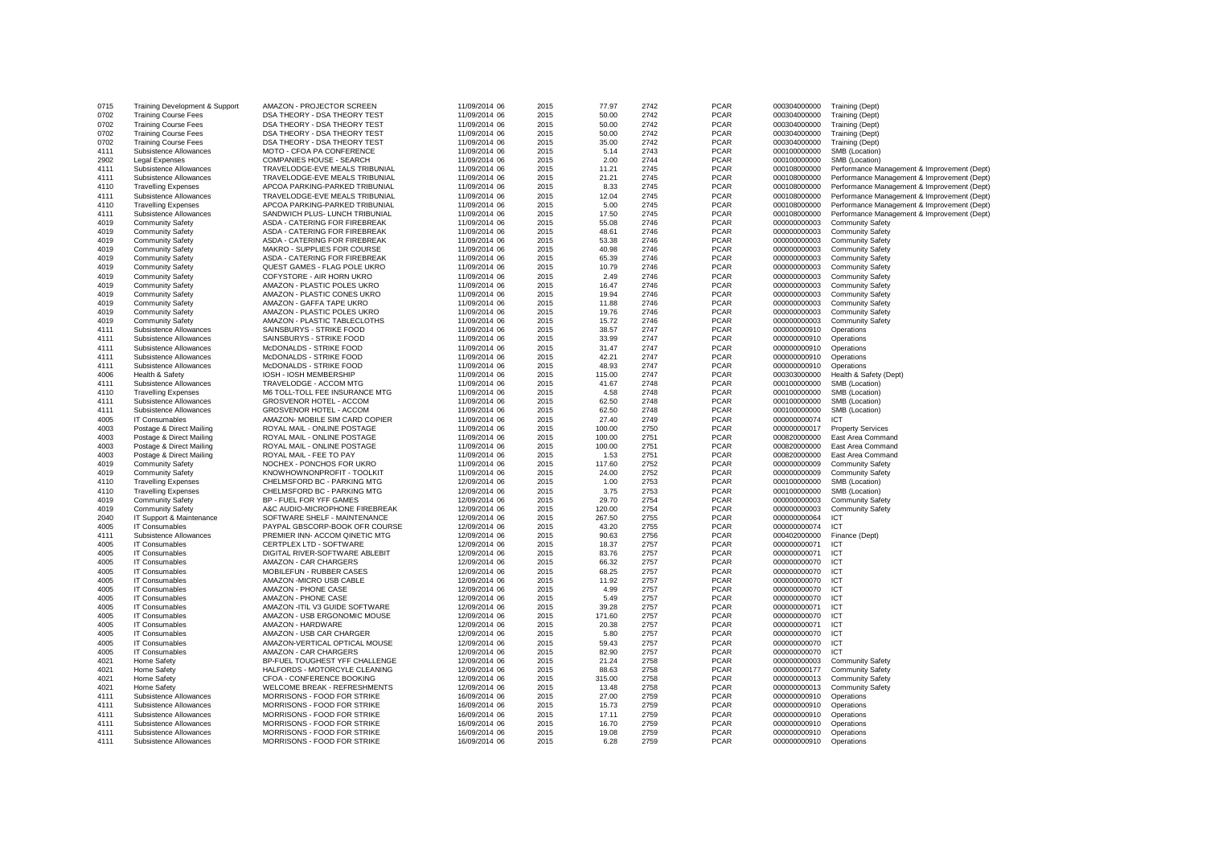| 0715 |                                | AMAZON - PROJECTOR SCREEN           |               | 2015 |        | 2742 | <b>PCAR</b> |              |                                             |
|------|--------------------------------|-------------------------------------|---------------|------|--------|------|-------------|--------------|---------------------------------------------|
|      | Training Development & Support |                                     | 11/09/2014 06 |      | 77.97  |      |             | 000304000000 | Training (Dept)                             |
| 0702 | <b>Training Course Fees</b>    | DSA THEORY - DSA THEORY TEST        | 11/09/2014 06 | 2015 | 50.00  | 2742 | <b>PCAR</b> | 000304000000 | Training (Dept)                             |
| 0702 | <b>Training Course Fees</b>    | DSA THEORY - DSA THEORY TEST        | 11/09/2014 06 | 2015 | 50.00  | 2742 | <b>PCAR</b> | 000304000000 | Training (Dept)                             |
| 0702 | <b>Training Course Fees</b>    | DSA THEORY - DSA THEORY TEST        | 11/09/2014 06 | 2015 | 50.00  | 2742 | <b>PCAR</b> | 000304000000 | Training (Dept)                             |
|      |                                |                                     |               |      |        |      |             |              |                                             |
| 0702 | <b>Training Course Fees</b>    | DSA THEORY - DSA THEORY TEST        | 11/09/2014 06 | 2015 | 35.00  | 2742 | <b>PCAR</b> | 000304000000 | Training (Dept)                             |
| 4111 | Subsistence Allowances         | MOTO - CFOA PA CONFERENCE           | 11/09/2014 06 | 2015 | 5.14   | 2743 | <b>PCAR</b> | 000100000000 | SMB (Location)                              |
| 2902 | Legal Expenses                 | COMPANIES HOUSE - SEARCH            | 11/09/2014 06 | 2015 | 2.00   | 2744 | <b>PCAR</b> | 000100000000 | SMB (Location)                              |
|      |                                |                                     |               |      |        | 2745 | <b>PCAR</b> |              |                                             |
| 4111 | Subsistence Allowances         | TRAVELODGE-EVE MEALS TRIBUNIAL      | 11/09/2014 06 | 2015 | 11.21  |      |             | 000108000000 | Performance Management & Improvement (Dept) |
| 4111 | Subsistence Allowances         | TRAVELODGE-EVE MEALS TRIBUNIAL      | 11/09/2014 06 | 2015 | 21.21  | 2745 | <b>PCAR</b> | 000108000000 | Performance Management & Improvement (Dept) |
| 4110 | <b>Travelling Expenses</b>     | APCOA PARKING-PARKED TRIBUNIAL      | 11/09/2014 06 | 2015 | 8.33   | 2745 | <b>PCAR</b> | 000108000000 | Performance Management & Improvement (Dept) |
| 4111 | Subsistence Allowances         | TRAVELODGE-EVE MEALS TRIBUNIAL      | 11/09/2014 06 | 2015 | 12.04  | 2745 | <b>PCAR</b> | 000108000000 | Performance Management & Improvement (Dept) |
|      |                                |                                     |               |      |        |      |             |              |                                             |
| 4110 | <b>Travelling Expenses</b>     | APCOA PARKING-PARKED TRIBUNIAL      | 11/09/2014 06 | 2015 | 5.00   | 2745 | <b>PCAR</b> | 000108000000 | Performance Management & Improvement (Dept) |
| 4111 | Subsistence Allowances         | SANDWICH PLUS- LUNCH TRIBUNIAL      | 11/09/2014 06 | 2015 | 17.50  | 2745 | <b>PCAR</b> | 000108000000 | Performance Management & Improvement (Dept) |
| 4019 | <b>Community Safety</b>        | ASDA - CATERING FOR FIREBREAK       | 11/09/2014 06 | 2015 | 55.08  | 2746 | <b>PCAR</b> | 000000000003 | <b>Community Safety</b>                     |
|      |                                |                                     |               |      |        | 2746 | <b>PCAR</b> |              |                                             |
| 4019 | <b>Community Safety</b>        | ASDA - CATERING FOR FIREBREAK       | 11/09/2014 06 | 2015 | 48.61  |      |             | 000000000003 | <b>Community Safety</b>                     |
| 4019 | <b>Community Safety</b>        | ASDA - CATERING FOR FIREBREAK       | 11/09/2014 06 | 2015 | 53.38  | 2746 | <b>PCAR</b> | 000000000003 | <b>Community Safety</b>                     |
| 4019 | <b>Community Safety</b>        | MAKRO - SUPPLIES FOR COURSE         | 11/09/2014 06 | 2015 | 40.98  | 2746 | <b>PCAR</b> | 000000000003 | <b>Community Safety</b>                     |
| 4019 | <b>Community Safety</b>        | ASDA - CATERING FOR FIREBREAK       | 11/09/2014 06 | 2015 | 65.39  | 2746 | <b>PCAR</b> | 000000000003 | <b>Community Safety</b>                     |
|      |                                |                                     |               |      |        |      |             |              |                                             |
| 4019 | <b>Community Safety</b>        | QUEST GAMES - FLAG POLE UKRO        | 11/09/2014 06 | 2015 | 10.79  | 2746 | <b>PCAR</b> | 000000000003 | <b>Community Safety</b>                     |
| 4019 | <b>Community Safety</b>        | COFYSTORE - AIR HORN UKRO           | 11/09/2014 06 | 2015 | 2.49   | 2746 | <b>PCAR</b> | 000000000003 | <b>Community Safety</b>                     |
| 4019 | <b>Community Safety</b>        | AMAZON - PLASTIC POLES UKRO         | 11/09/2014 06 | 2015 | 16.47  | 2746 | <b>PCAR</b> | 000000000003 | <b>Community Safety</b>                     |
|      |                                | AMAZON - PLASTIC CONES UKRO         |               |      | 19.94  |      | <b>PCAR</b> |              |                                             |
| 4019 | <b>Community Safety</b>        |                                     | 11/09/2014 06 | 2015 |        | 2746 |             | 000000000003 | <b>Community Safety</b>                     |
| 4019 | <b>Community Safety</b>        | AMAZON - GAFFA TAPE UKRO            | 11/09/2014 06 | 2015 | 11.88  | 2746 | <b>PCAR</b> | 000000000003 | <b>Community Safety</b>                     |
| 4019 | <b>Community Safety</b>        | AMAZON - PLASTIC POLES UKRO         | 11/09/2014 06 | 2015 | 19.76  | 2746 | <b>PCAR</b> | 000000000003 | <b>Community Safety</b>                     |
| 4019 | <b>Community Safety</b>        | AMAZON - PLASTIC TABLECLOTHS        | 11/09/2014 06 | 2015 | 15.72  | 2746 | <b>PCAR</b> | 000000000003 | <b>Community Safety</b>                     |
|      |                                |                                     |               |      |        |      |             |              |                                             |
| 4111 | Subsistence Allowances         | SAINSBURYS - STRIKE FOOD            | 11/09/2014 06 | 2015 | 38.57  | 2747 | <b>PCAR</b> | 000000000910 | Operations                                  |
| 4111 | Subsistence Allowances         | SAINSBURYS - STRIKE FOOD            | 11/09/2014 06 | 2015 | 33.99  | 2747 | <b>PCAR</b> | 000000000910 | Operations                                  |
| 4111 | Subsistence Allowances         | McDONALDS - STRIKE FOOD             | 11/09/2014 06 | 2015 | 31.47  | 2747 | <b>PCAR</b> | 000000000910 | Operations                                  |
|      |                                |                                     |               |      |        |      |             |              |                                             |
| 4111 | Subsistence Allowances         | McDONALDS - STRIKE FOOD             | 11/09/2014 06 | 2015 | 42.21  | 2747 | <b>PCAR</b> | 000000000910 | Operations                                  |
| 4111 | Subsistence Allowances         | McDONALDS - STRIKE FOOD             | 11/09/2014 06 | 2015 | 48.93  | 2747 | <b>PCAR</b> | 000000000910 | Operations                                  |
| 4006 | Health & Safety                | IOSH - IOSH MEMBERSHIP              | 11/09/2014 06 | 2015 | 115.00 | 2747 | <b>PCAR</b> | 000303000000 | Health & Safety (Dept)                      |
| 4111 | Subsistence Allowances         | TRAVELODGE - ACCOM MTG              | 11/09/2014 06 | 2015 | 41.67  | 2748 | <b>PCAR</b> | 000100000000 | SMB (Location)                              |
|      |                                |                                     |               |      |        |      |             |              |                                             |
| 4110 | <b>Travelling Expenses</b>     | M6 TOLL-TOLL FEE INSURANCE MTG      | 11/09/2014 06 | 2015 | 4.58   | 2748 | <b>PCAR</b> | 000100000000 | SMB (Location)                              |
| 4111 | Subsistence Allowances         | <b>GROSVENOR HOTEL - ACCOM</b>      | 11/09/2014 06 | 2015 | 62.50  | 2748 | <b>PCAR</b> | 000100000000 | SMB (Location)                              |
| 4111 | Subsistence Allowances         | <b>GROSVENOR HOTEL - ACCOM</b>      | 11/09/2014 06 | 2015 | 62.50  | 2748 | <b>PCAR</b> | 000100000000 | SMB (Location)                              |
| 4005 | IT Consumables                 | AMAZON- MOBILE SIM CARD COPIER      | 11/09/2014 06 | 2015 | 27.40  | 2749 | <b>PCAR</b> | 000000000074 | ICT                                         |
|      |                                |                                     |               |      |        |      |             |              |                                             |
| 4003 | Postage & Direct Mailing       | ROYAL MAIL - ONLINE POSTAGE         | 11/09/2014 06 | 2015 | 100.00 | 2750 | <b>PCAR</b> | 000000000017 | <b>Property Services</b>                    |
| 4003 | Postage & Direct Mailing       | ROYAL MAIL - ONLINE POSTAGE         | 11/09/2014 06 | 2015 | 100.00 | 2751 | <b>PCAR</b> | 000820000000 | East Area Command                           |
| 4003 | Postage & Direct Mailing       | ROYAL MAIL - ONLINE POSTAGE         | 11/09/2014 06 | 2015 | 100.00 | 2751 | <b>PCAR</b> | 000820000000 | East Area Command                           |
|      |                                |                                     |               |      |        |      |             |              |                                             |
| 4003 | Postage & Direct Mailing       | ROYAL MAIL - FEE TO PAY             | 11/09/2014 06 | 2015 | 1.53   | 2751 | <b>PCAR</b> | 000820000000 | East Area Command                           |
| 4019 | <b>Community Safety</b>        | NOCHEX - PONCHOS FOR UKRO           | 11/09/2014 06 | 2015 | 117.60 | 2752 | <b>PCAR</b> | 000000000009 | <b>Community Safety</b>                     |
| 4019 | <b>Community Safety</b>        | KNOWHOWNONPROFIT - TOOLKIT          | 11/09/2014 06 | 2015 | 24.00  | 2752 | <b>PCAR</b> | 000000000009 | <b>Community Safety</b>                     |
| 4110 | <b>Travelling Expenses</b>     | CHELMSFORD BC - PARKING MTG         | 12/09/2014 06 | 2015 | 1.00   | 2753 | <b>PCAR</b> | 000100000000 | SMB (Location)                              |
|      |                                |                                     |               |      |        |      |             |              |                                             |
| 4110 | <b>Travelling Expenses</b>     | CHELMSFORD BC - PARKING MTG         | 12/09/2014 06 | 2015 | 3.75   | 2753 | <b>PCAR</b> | 000100000000 | SMB (Location)                              |
| 4019 | <b>Community Safety</b>        | BP - FUEL FOR YFF GAMES             | 12/09/2014 06 | 2015 | 29.70  | 2754 | <b>PCAR</b> | 000000000003 | <b>Community Safety</b>                     |
| 4019 | <b>Community Safety</b>        | A&C AUDIO-MICROPHONE FIREBREAK      | 12/09/2014 06 | 2015 | 120.00 | 2754 | <b>PCAR</b> | 000000000003 | <b>Community Safety</b>                     |
|      |                                |                                     |               |      |        |      |             |              |                                             |
| 2040 | IT Support & Maintenance       | SOFTWARE SHELF - MAINTENANCE        | 12/09/2014 06 | 2015 | 267.50 | 2755 | <b>PCAR</b> | 000000000064 | ICT                                         |
| 4005 | IT Consumables                 | PAYPAL GBSCORP-BOOK OFR COURSE      | 12/09/2014 06 | 2015 | 43.20  | 2755 | <b>PCAR</b> | 000000000074 | ICT                                         |
| 4111 | Subsistence Allowances         | PREMIER INN- ACCOM QINETIC MTG      | 12/09/2014 06 | 2015 | 90.63  | 2756 | <b>PCAR</b> | 000402000000 | Finance (Dept)                              |
| 4005 | IT Consumables                 | CERTPLEX LTD - SOFTWARE             | 12/09/2014 06 | 2015 | 18.37  | 2757 | <b>PCAR</b> | 000000000071 | <b>ICT</b>                                  |
|      |                                |                                     |               |      |        |      |             |              |                                             |
| 4005 | IT Consumables                 | DIGITAL RIVER-SOFTWARE ABLEBIT      | 12/09/2014 06 | 2015 | 83.76  | 2757 | <b>PCAR</b> | 000000000071 | ICT                                         |
| 4005 | IT Consumables                 | AMAZON - CAR CHARGERS               | 12/09/2014 06 | 2015 | 66.32  | 2757 | <b>PCAR</b> | 000000000070 | ICT                                         |
| 4005 | IT Consumables                 | MOBILEFUN - RUBBER CASES            | 12/09/2014 06 | 2015 | 68.25  | 2757 | <b>PCAR</b> | 000000000070 | ICT                                         |
| 4005 |                                |                                     |               |      |        |      |             |              | <b>ICT</b>                                  |
|      | IT Consumables                 | AMAZON - MICRO USB CABLE            | 12/09/2014 06 | 2015 | 11.92  | 2757 | <b>PCAR</b> | 000000000070 |                                             |
| 4005 | IT Consumables                 | <b>AMAZON - PHONE CASE</b>          | 12/09/2014 06 | 2015 | 4.99   | 2757 | <b>PCAR</b> | 000000000070 | ICT                                         |
| 4005 | IT Consumables                 | AMAZON - PHONE CASE                 | 12/09/2014 06 | 2015 | 5.49   | 2757 | <b>PCAR</b> | 000000000070 | ICT                                         |
| 4005 | IT Consumables                 | AMAZON - ITIL V3 GUIDE SOFTWARE     | 12/09/2014 06 | 2015 | 39.28  | 2757 | <b>PCAR</b> | 000000000071 | ICT                                         |
|      |                                |                                     |               |      |        |      |             |              |                                             |
| 4005 | IT Consumables                 | AMAZON - USB ERGONOMIC MOUSE        | 12/09/2014 06 | 2015 | 171.60 | 2757 | <b>PCAR</b> | 000000000070 | ICT                                         |
| 4005 | IT Consumables                 | AMAZON - HARDWARE                   | 12/09/2014 06 | 2015 | 20.38  | 2757 | <b>PCAR</b> | 000000000071 | ICT                                         |
| 4005 | <b>IT Consumables</b>          | AMAZON - USB CAR CHARGER            | 12/09/2014 06 | 2015 | 5.80   | 2757 | <b>PCAR</b> | 000000000070 | ICT                                         |
| 4005 |                                |                                     |               |      | 59.43  |      | <b>PCAR</b> |              | ICT                                         |
|      | IT Consumables                 | AMAZON-VERTICAL OPTICAL MOUSE       | 12/09/2014 06 | 2015 |        | 2757 |             | 000000000070 |                                             |
| 4005 | <b>IT Consumables</b>          | AMAZON - CAR CHARGERS               | 12/09/2014 06 | 2015 | 82.90  | 2757 | <b>PCAR</b> | 000000000070 | <b>ICT</b>                                  |
| 4021 | Home Safety                    | BP-FUEL TOUGHEST YFF CHALLENGE      | 12/09/2014 06 | 2015 | 21.24  | 2758 | <b>PCAR</b> | 000000000003 | <b>Community Safety</b>                     |
| 4021 | Home Safety                    | HALFORDS - MOTORCYLE CLEANING       | 12/09/2014 06 | 2015 | 88.63  | 2758 | <b>PCAR</b> | 000000000177 | <b>Community Safety</b>                     |
|      |                                |                                     |               |      |        |      |             |              |                                             |
| 4021 | Home Safety                    | CFOA - CONFERENCE BOOKING           | 12/09/2014 06 | 2015 | 315.00 | 2758 | <b>PCAR</b> | 000000000013 | <b>Community Safety</b>                     |
| 4021 | Home Safety                    | <b>WELCOME BREAK - REFRESHMENTS</b> | 12/09/2014 06 | 2015 | 13.48  | 2758 | <b>PCAR</b> | 000000000013 | <b>Community Safety</b>                     |
| 4111 | Subsistence Allowances         | MORRISONS - FOOD FOR STRIKE         | 16/09/2014 06 | 2015 | 27.00  | 2759 | <b>PCAR</b> | 000000000910 | Operations                                  |
|      |                                | MORRISONS - FOOD FOR STRIKE         |               |      | 15.73  | 2759 | <b>PCAR</b> |              |                                             |
| 4111 | Subsistence Allowances         |                                     | 16/09/2014 06 | 2015 |        |      |             | 000000000910 | Operations                                  |
| 4111 | Subsistence Allowances         | MORRISONS - FOOD FOR STRIKE         | 16/09/2014 06 | 2015 | 17.11  | 2759 | <b>PCAR</b> | 000000000910 | Operations                                  |
| 4111 | Subsistence Allowances         | MORRISONS - FOOD FOR STRIKE         | 16/09/2014 06 | 2015 | 16.70  | 2759 | <b>PCAR</b> | 000000000910 | Operations                                  |
| 4111 | Subsistence Allowances         | MORRISONS - FOOD FOR STRIKE         | 16/09/2014 06 | 2015 | 19.08  | 2759 | <b>PCAR</b> | 000000000910 | Operations                                  |
|      |                                |                                     |               |      |        |      |             |              |                                             |
| 4111 | Subsistence Allowances         | MORRISONS - FOOD FOR STRIKE         | 16/09/2014 06 | 2015 | 6.28   | 2759 | <b>PCAR</b> | 000000000910 | Operations                                  |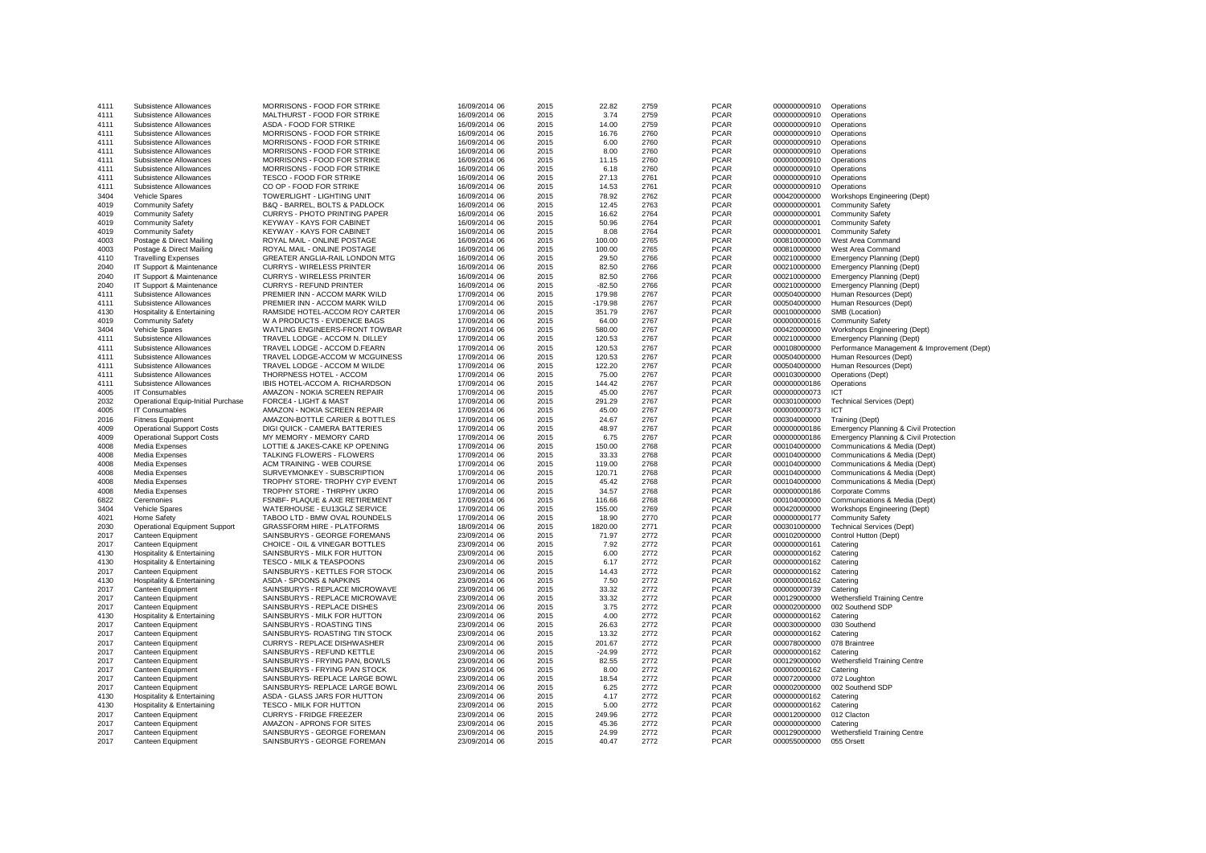| 4111 | Subsistence Allowances                | MORRISONS - FOOD FOR STRIKE      | 16/09/2014 06 | 2015 | 22.82     | 2759 | <b>PCAR</b> | 000000000910 | Operations                                  |
|------|---------------------------------------|----------------------------------|---------------|------|-----------|------|-------------|--------------|---------------------------------------------|
| 4111 | Subsistence Allowances                | MALTHURST - FOOD FOR STRIKE      | 16/09/2014 06 | 2015 | 3.74      | 2759 | <b>PCAR</b> | 000000000910 | Operations                                  |
| 4111 | Subsistence Allowances                | ASDA - FOOD FOR STRIKE           | 16/09/2014 06 | 2015 | 14.00     | 2759 | <b>PCAR</b> | 000000000910 | Operations                                  |
| 4111 | Subsistence Allowances                | MORRISONS - FOOD FOR STRIKE      | 16/09/2014 06 | 2015 | 16.76     | 2760 | <b>PCAR</b> | 000000000910 | Operations                                  |
| 4111 | Subsistence Allowances                | MORRISONS - FOOD FOR STRIKE      | 16/09/2014 06 | 2015 | 6.00      | 2760 | <b>PCAR</b> | 000000000910 | Operations                                  |
| 4111 | Subsistence Allowances                | MORRISONS - FOOD FOR STRIKE      | 16/09/2014 06 | 2015 | 8.00      | 2760 | <b>PCAR</b> | 000000000910 | Operations                                  |
| 4111 | Subsistence Allowances                | MORRISONS - FOOD FOR STRIKE      | 16/09/2014 06 | 2015 | 11.15     | 2760 | <b>PCAR</b> | 000000000910 | Operations                                  |
| 4111 | Subsistence Allowances                | MORRISONS - FOOD FOR STRIKE      | 16/09/2014 06 | 2015 | 6.18      | 2760 | <b>PCAR</b> | 000000000910 | Operations                                  |
| 4111 | Subsistence Allowances                | TESCO - FOOD FOR STRIKE          | 16/09/2014 06 | 2015 | 27.13     | 2761 | <b>PCAR</b> | 000000000910 | Operations                                  |
| 4111 | Subsistence Allowances                | CO OP - FOOD FOR STRIKE          | 16/09/2014 06 | 2015 | 14.53     | 2761 | <b>PCAR</b> | 000000000910 | Operations                                  |
| 3404 | Vehicle Spares                        | TOWERLIGHT - LIGHTING UNIT       | 16/09/2014 06 | 2015 | 78.92     | 2762 | <b>PCAR</b> | 000420000000 | Workshops Engineering (Dept)                |
| 4019 | <b>Community Safety</b>               | B&Q - BARREL, BOLTS & PADLOCK    | 16/09/2014 06 | 2015 | 12.45     | 2763 | <b>PCAR</b> | 000000000001 | <b>Community Safety</b>                     |
| 4019 | <b>Community Safety</b>               | CURRYS - PHOTO PRINTING PAPER    | 16/09/2014 06 | 2015 | 16.62     | 2764 | <b>PCAR</b> | 000000000001 | <b>Community Safety</b>                     |
| 4019 |                                       | <b>KEYWAY - KAYS FOR CABINET</b> |               | 2015 |           | 2764 | <b>PCAR</b> |              |                                             |
| 4019 | <b>Community Safety</b>               |                                  | 16/09/2014 06 | 2015 | 50.96     | 2764 |             | 000000000001 | <b>Community Safety</b>                     |
|      | <b>Community Safety</b>               | KEYWAY - KAYS FOR CABINET        | 16/09/2014 06 |      | 8.08      |      | <b>PCAR</b> | 000000000001 | <b>Community Safety</b>                     |
| 4003 | Postage & Direct Mailing              | ROYAL MAIL - ONLINE POSTAGE      | 16/09/2014 06 | 2015 | 100.00    | 2765 | <b>PCAR</b> | 000810000000 | West Area Command                           |
| 4003 | Postage & Direct Mailing              | ROYAL MAIL - ONLINE POSTAGE      | 16/09/2014 06 | 2015 | 100.00    | 2765 | <b>PCAR</b> | 000810000000 | West Area Command                           |
| 4110 | <b>Travelling Expenses</b>            | GREATER ANGLIA-RAIL LONDON MTG   | 16/09/2014 06 | 2015 | 29.50     | 2766 | <b>PCAR</b> | 000210000000 | Emergency Planning (Dept)                   |
| 2040 | IT Support & Maintenance              | <b>CURRYS - WIRELESS PRINTER</b> | 16/09/2014 06 | 2015 | 82.50     | 2766 | <b>PCAR</b> | 000210000000 | <b>Emergency Planning (Dept)</b>            |
| 2040 | IT Support & Maintenance              | <b>CURRYS - WIRELESS PRINTER</b> | 16/09/2014 06 | 2015 | 82.50     | 2766 | <b>PCAR</b> | 000210000000 | <b>Emergency Planning (Dept)</b>            |
| 2040 | IT Support & Maintenance              | <b>CURRYS - REFUND PRINTER</b>   | 16/09/2014 06 | 2015 | $-82.50$  | 2766 | <b>PCAR</b> | 000210000000 | Emergency Planning (Dept)                   |
| 4111 | Subsistence Allowances                | PREMIER INN - ACCOM MARK WILD    | 17/09/2014 06 | 2015 | 179.98    | 2767 | <b>PCAR</b> | 000504000000 | Human Resources (Dept)                      |
| 4111 | Subsistence Allowances                | PREMIER INN - ACCOM MARK WILD    | 17/09/2014 06 | 2015 | $-179.98$ | 2767 | <b>PCAR</b> | 000504000000 | Human Resources (Dept)                      |
| 4130 | Hospitality & Entertaining            | RAMSIDE HOTEL-ACCOM ROY CARTER   | 17/09/2014 06 | 2015 | 351.79    | 2767 | <b>PCAR</b> | 000100000000 | SMB (Location)                              |
| 4019 | <b>Community Safety</b>               | W A PRODUCTS - EVIDENCE BAGS     | 17/09/2014 06 | 2015 | 64.00     | 2767 | <b>PCAR</b> | 000000000016 | <b>Community Safety</b>                     |
| 3404 | Vehicle Spares                        | WATLING ENGINEERS-FRONT TOWBAR   | 17/09/2014 06 | 2015 | 580.00    | 2767 | <b>PCAR</b> | 000420000000 | Workshops Engineering (Dept)                |
| 4111 | Subsistence Allowances                | TRAVEL LODGE - ACCOM N. DILLEY   | 17/09/2014 06 | 2015 | 120.53    | 2767 | <b>PCAR</b> | 000210000000 | Emergency Planning (Dept)                   |
| 4111 | Subsistence Allowances                | TRAVEL LODGE - ACCOM D.FEARN     | 17/09/2014 06 | 2015 | 120.53    | 2767 | <b>PCAR</b> | 000108000000 | Performance Management & Improvement (Dept) |
| 4111 | Subsistence Allowances                | TRAVEL LODGE-ACCOM W MCGUINESS   | 17/09/2014 06 | 2015 | 120.53    | 2767 | <b>PCAR</b> | 000504000000 | Human Resources (Dept)                      |
| 4111 | Subsistence Allowances                | TRAVEL LODGE - ACCOM M WILDE     | 17/09/2014 06 | 2015 | 122.20    | 2767 | <b>PCAR</b> | 000504000000 | Human Resources (Dept)                      |
| 4111 | Subsistence Allowances                | THORPNESS HOTEL - ACCOM          | 17/09/2014 06 | 2015 | 75.00     | 2767 | <b>PCAR</b> | 000103000000 | Operations (Dept)                           |
| 4111 | Subsistence Allowances                | IBIS HOTEL-ACCOM A. RICHARDSON   | 17/09/2014 06 | 2015 | 144.42    | 2767 | <b>PCAR</b> | 000000000186 | Operations                                  |
| 4005 | IT Consumables                        | AMAZON - NOKIA SCREEN REPAIR     | 17/09/2014 06 | 2015 | 45.00     | 2767 | <b>PCAR</b> | 000000000073 | ICT                                         |
| 2032 | Operational Equip-Initial Purchase    | FORCE4 - LIGHT & MAST            | 17/09/2014 06 | 2015 | 291.29    | 2767 | <b>PCAR</b> | 000301000000 | <b>Technical Services (Dept)</b>            |
| 4005 | IT Consumables                        | AMAZON - NOKIA SCREEN REPAIR     | 17/09/2014 06 | 2015 | 45.00     | 2767 | <b>PCAR</b> | 000000000073 | <b>ICT</b>                                  |
| 2016 | <b>Fitness Equipment</b>              | AMAZON-BOTTLE CARIER & BOTTLES   | 17/09/2014 06 | 2015 | 24.67     | 2767 | <b>PCAR</b> | 000304000000 | Training (Dept)                             |
|      |                                       |                                  |               |      |           |      |             |              |                                             |
| 4009 | <b>Operational Support Costs</b>      | DIGI QUICK - CAMERA BATTERIES    | 17/09/2014 06 | 2015 | 48.97     | 2767 | <b>PCAR</b> | 000000000186 | Emergency Planning & Civil Protection       |
| 4009 | <b>Operational Support Costs</b>      | MY MEMORY - MEMORY CARD          | 17/09/2014 06 | 2015 | 6.75      | 2767 | <b>PCAR</b> | 000000000186 | Emergency Planning & Civil Protection       |
| 4008 | Media Expenses                        | LOTTIE & JAKES-CAKE KP OPENING   | 17/09/2014 06 | 2015 | 150.00    | 2768 | <b>PCAR</b> | 000104000000 | Communications & Media (Dept)               |
| 4008 | Media Expenses                        | TALKING FLOWERS - FLOWERS        | 17/09/2014 06 | 2015 | 33.33     | 2768 | <b>PCAR</b> | 000104000000 | Communications & Media (Dept)               |
| 4008 | Media Expenses                        | ACM TRAINING - WEB COURSE        | 17/09/2014 06 | 2015 | 119.00    | 2768 | <b>PCAR</b> | 000104000000 | Communications & Media (Dept)               |
| 4008 | Media Expenses                        | SURVEYMONKEY - SUBSCRIPTION      | 17/09/2014 06 | 2015 | 120.71    | 2768 | <b>PCAR</b> | 000104000000 | Communications & Media (Dept)               |
| 4008 | Media Expenses                        | TROPHY STORE- TROPHY CYP EVENT   | 17/09/2014 06 | 2015 | 45.42     | 2768 | <b>PCAR</b> | 000104000000 | Communications & Media (Dept)               |
| 4008 | Media Expenses                        | TROPHY STORE - THRPHY UKRO       | 17/09/2014 06 | 2015 | 34.57     | 2768 | <b>PCAR</b> | 000000000186 | Corporate Comms                             |
| 6822 | Ceremonies                            | FSNBF- PLAQUE & AXE RETIREMENT   | 17/09/2014 06 | 2015 | 116.66    | 2768 | <b>PCAR</b> | 000104000000 | Communications & Media (Dept)               |
| 3404 | Vehicle Spares                        | WATERHOUSE - EU13GLZ SERVICE     | 17/09/2014 06 | 2015 | 155.00    | 2769 | <b>PCAR</b> | 000420000000 | Workshops Engineering (Dept)                |
| 4021 | Home Safety                           | TABOO LTD - BMW OVAL ROUNDELS    | 17/09/2014 06 | 2015 | 18.90     | 2770 | <b>PCAR</b> | 000000000177 | <b>Community Safety</b>                     |
| 2030 | <b>Operational Equipment Support</b>  | GRASSFORM HIRE - PLATFORMS       | 18/09/2014 06 | 2015 | 1820.00   | 2771 | <b>PCAR</b> | 000301000000 | <b>Technical Services (Dept)</b>            |
| 2017 | Canteen Equipment                     | SAINSBURYS - GEORGE FOREMANS     | 23/09/2014 06 | 2015 | 71.97     | 2772 | <b>PCAR</b> | 000102000000 | Control Hutton (Dept)                       |
| 2017 | Canteen Equipment                     | CHOICE - OIL & VINEGAR BOTTLES   | 23/09/2014 06 | 2015 | 7.92      | 2772 | <b>PCAR</b> | 000000000161 | Catering                                    |
| 4130 | Hospitality & Entertaining            | SAINSBURYS - MILK FOR HUTTON     | 23/09/2014 06 | 2015 | 6.00      | 2772 | <b>PCAR</b> | 000000000162 | Catering                                    |
| 4130 | Hospitality & Entertaining            | TESCO - MILK & TEASPOONS         | 23/09/2014 06 | 2015 | 6.17      | 2772 | <b>PCAR</b> | 000000000162 | Catering                                    |
| 2017 | Canteen Equipment                     | SAINSBURYS - KETTLES FOR STOCK   | 23/09/2014 06 | 2015 | 14.43     | 2772 | <b>PCAR</b> | 000000000162 | Catering                                    |
| 4130 | <b>Hospitality &amp; Entertaining</b> | ASDA - SPOONS & NAPKINS          | 23/09/2014 06 | 2015 | 7.50      | 2772 | <b>PCAR</b> | 000000000162 | Catering                                    |
| 2017 | Canteen Equipment                     | SAINSBURYS - REPLACE MICROWAVE   | 23/09/2014 06 | 2015 | 33.32     | 2772 | <b>PCAR</b> | 000000000739 | Catering                                    |
| 2017 | Canteen Equipment                     | SAINSBURYS - REPLACE MICROWAVE   | 23/09/2014 06 | 2015 | 33.32     | 2772 | <b>PCAR</b> | 000129000000 | Wethersfield Training Centre                |
| 2017 | Canteen Equipment                     | SAINSBURYS - REPLACE DISHES      | 23/09/2014 06 | 2015 | 3.75      | 2772 | <b>PCAR</b> | 000002000000 | 002 Southend SDP                            |
| 4130 | Hospitality & Entertaining            | SAINSBURYS - MILK FOR HUTTON     | 23/09/2014 06 | 2015 | 4.00      | 2772 | <b>PCAR</b> | 000000000162 | Catering                                    |
| 2017 | Canteen Equipment                     | SAINSBURYS - ROASTING TINS       | 23/09/2014 06 | 2015 | 26.63     | 2772 | <b>PCAR</b> | 000030000000 | 030 Southend                                |
| 2017 |                                       | SAINSBURYS- ROASTING TIN STOCK   | 23/09/2014 06 | 2015 | 13.32     | 2772 | <b>PCAR</b> | 000000000162 |                                             |
| 2017 | Canteen Equipment                     |                                  | 23/09/2014 06 | 2015 | 201.67    | 2772 | <b>PCAR</b> | 000078000000 | Catering<br>078 Braintree                   |
|      | Canteen Equipment                     | CURRYS - REPLACE DISHWASHER      |               |      |           |      |             |              |                                             |
| 2017 | Canteen Equipment                     | SAINSBURYS - REFUND KETTLE       | 23/09/2014 06 | 2015 | $-24.99$  | 2772 | <b>PCAR</b> | 000000000162 | Catering                                    |
| 2017 | Canteen Equipment                     | SAINSBURYS - FRYING PAN, BOWLS   | 23/09/2014 06 | 2015 | 82.55     | 2772 | <b>PCAR</b> | 000129000000 | Wethersfield Training Centre                |
| 2017 | Canteen Equipment                     | SAINSBURYS - FRYING PAN STOCK    | 23/09/2014 06 | 2015 | 8.00      | 2772 | <b>PCAR</b> | 000000000162 | Catering                                    |
| 2017 | Canteen Equipment                     | SAINSBURYS- REPLACE LARGE BOWL   | 23/09/2014 06 | 2015 | 18.54     | 2772 | <b>PCAR</b> | 000072000000 | 072 Loughton                                |
| 2017 | Canteen Equipment                     | SAINSBURYS- REPLACE LARGE BOWL   | 23/09/2014 06 | 2015 | 6.25      | 2772 | <b>PCAR</b> | 000002000000 | 002 Southend SDP                            |
| 4130 | <b>Hospitality &amp; Entertaining</b> | ASDA - GLASS JARS FOR HUTTON     | 23/09/2014 06 | 2015 | 4.17      | 2772 | <b>PCAR</b> | 000000000162 | Catering                                    |
| 4130 | Hospitality & Entertaining            | TESCO - MILK FOR HUTTON          | 23/09/2014 06 | 2015 | 5.00      | 2772 | <b>PCAR</b> | 000000000162 | Catering                                    |
| 2017 | Canteen Equipment                     | <b>CURRYS - FRIDGE FREEZER</b>   | 23/09/2014 06 | 2015 | 249.96    | 2772 | <b>PCAR</b> | 000012000000 | 012 Clacton                                 |
| 2017 | Canteen Equipment                     | AMAZON - APRONS FOR SITES        | 23/09/2014 06 | 2015 | 45.36     | 2772 | <b>PCAR</b> | 000000000000 | Catering                                    |
| 2017 | Canteen Equipment                     | SAINSBURYS - GEORGE FOREMAN      | 23/09/2014 06 | 2015 | 24.99     | 2772 | <b>PCAR</b> | 000129000000 | Wethersfield Training Centre                |
| 2017 | Canteen Equipment                     | SAINSBURYS - GEORGE FOREMAN      | 23/09/2014 06 | 2015 | 40.47     | 2772 | <b>PCAR</b> | 000055000000 | 055 Orsett                                  |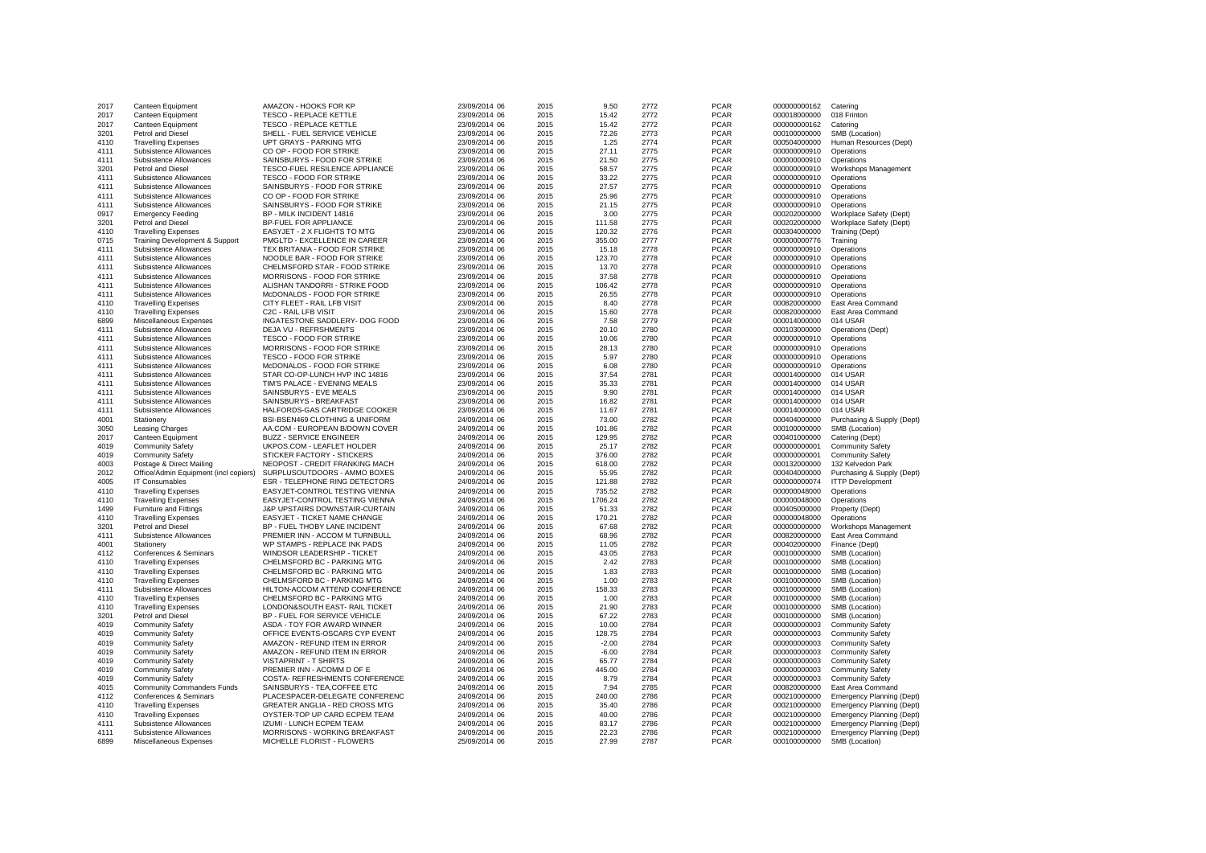| 2017 | Canteen Equipment                     | AMAZON - HOOKS FOR KP                     | 23/09/2014 06 | 2015 | 9.50    | 2772 | <b>PCAR</b> | 000000000162 | Catering                         |
|------|---------------------------------------|-------------------------------------------|---------------|------|---------|------|-------------|--------------|----------------------------------|
| 2017 | Canteen Equipment                     | <b>TESCO - REPLACE KETTLE</b>             | 23/09/2014 06 | 2015 | 15.42   | 2772 | <b>PCAR</b> | 000018000000 | 018 Frinton                      |
| 2017 | Canteen Equipment                     | TESCO - REPLACE KETTLE                    | 23/09/2014 06 | 2015 | 15.42   | 2772 | <b>PCAR</b> | 000000000162 | Catering                         |
| 3201 | Petrol and Diesel                     | SHELL - FUEL SERVICE VEHICLE              | 23/09/2014 06 | 2015 | 72.26   | 2773 | <b>PCAR</b> | 000100000000 | SMB (Location)                   |
| 4110 | <b>Travelling Expenses</b>            | UPT GRAYS - PARKING MTG                   | 23/09/2014 06 | 2015 | 1.25    | 2774 | <b>PCAR</b> | 000504000000 | Human Resources (Dept)           |
| 4111 | Subsistence Allowances                | CO OP - FOOD FOR STRIKE                   | 23/09/2014 06 | 2015 | 27.11   | 2775 | <b>PCAR</b> | 000000000910 | Operations                       |
| 4111 | Subsistence Allowances                | SAINSBURYS - FOOD FOR STRIKE              | 23/09/2014 06 | 2015 | 21.50   | 2775 | <b>PCAR</b> | 000000000910 | Operations                       |
| 3201 | Petrol and Diesel                     |                                           |               | 2015 | 58.57   | 2775 | <b>PCAR</b> | 000000000910 |                                  |
|      |                                       | TESCO-FUEL RESILENCE APPLIANCE            | 23/09/2014 06 |      |         |      |             |              | Workshops Management             |
| 4111 | Subsistence Allowances                | <b>TESCO - FOOD FOR STRIKE</b>            | 23/09/2014 06 | 2015 | 33.22   | 2775 | <b>PCAR</b> | 000000000910 | Operations                       |
| 4111 | Subsistence Allowances                | SAINSBURYS - FOOD FOR STRIKE              | 23/09/2014 06 | 2015 | 27.57   | 2775 | <b>PCAR</b> | 000000000910 | Operations                       |
| 4111 | Subsistence Allowances                | CO OP - FOOD FOR STRIKE                   | 23/09/2014 06 | 2015 | 25.96   | 2775 | <b>PCAR</b> | 000000000910 | Operations                       |
| 4111 | Subsistence Allowances                | SAINSBURYS - FOOD FOR STRIKE              | 23/09/2014 06 | 2015 | 21.15   | 2775 | <b>PCAR</b> | 000000000910 | Operations                       |
| 0917 | <b>Emergency Feeding</b>              | BP - MILK INCIDENT 14816                  | 23/09/2014 06 | 2015 | 3.00    | 2775 | <b>PCAR</b> | 000202000000 | Workplace Safety (Dept)          |
| 3201 | Petrol and Diesel                     | <b>BP-FUEL FOR APPLIANCE</b>              | 23/09/2014 06 | 2015 | 111.58  | 2775 | <b>PCAR</b> | 000202000000 | Workplace Safety (Dept)          |
| 4110 | <b>Travelling Expenses</b>            | EASYJET - 2 X FLIGHTS TO MTG              | 23/09/2014 06 | 2015 | 120.32  | 2776 | <b>PCAR</b> | 000304000000 | Training (Dept)                  |
| 0715 | Training Development & Support        | PMGLTD - EXCELLENCE IN CAREER             | 23/09/2014 06 | 2015 | 355.00  | 2777 | <b>PCAR</b> | 000000000776 | Training                         |
| 4111 | Subsistence Allowances                | TEX BRITANIA - FOOD FOR STRIKE            | 23/09/2014 06 | 2015 | 15.18   | 2778 | <b>PCAR</b> | 000000000910 | Operations                       |
| 4111 | Subsistence Allowances                | NOODLE BAR - FOOD FOR STRIKE              | 23/09/2014 06 | 2015 | 123.70  | 2778 | <b>PCAR</b> | 000000000910 | Operations                       |
| 4111 | Subsistence Allowances                | CHELMSFORD STAR - FOOD STRIKE             | 23/09/2014 06 | 2015 | 13.70   | 2778 | <b>PCAR</b> | 000000000910 | Operations                       |
| 4111 | Subsistence Allowances                | MORRISONS - FOOD FOR STRIKE               | 23/09/2014 06 | 2015 | 37.58   | 2778 | <b>PCAR</b> | 000000000910 | Operations                       |
| 4111 | Subsistence Allowances                | ALISHAN TANDORRI - STRIKE FOOD            | 23/09/2014 06 | 2015 | 106.42  | 2778 | <b>PCAR</b> | 000000000910 | Operations                       |
| 4111 | Subsistence Allowances                | McDONALDS - FOOD FOR STRIKE               | 23/09/2014 06 | 2015 | 26.55   | 2778 | <b>PCAR</b> | 000000000910 | Operations                       |
| 4110 | <b>Travelling Expenses</b>            | CITY FLEET - RAIL LFB VISIT               | 23/09/2014 06 | 2015 | 8.40    | 2778 | <b>PCAR</b> | 000820000000 | East Area Command                |
| 4110 | <b>Travelling Expenses</b>            | C2C - RAIL LFB VISIT                      | 23/09/2014 06 | 2015 | 15.60   | 2778 | <b>PCAR</b> | 000820000000 | East Area Command                |
| 6899 | Miscellaneous Expenses                | INGATESTONE SADDLERY- DOG FOOD            | 23/09/2014 06 | 2015 | 7.58    | 2779 | <b>PCAR</b> | 000014000000 | 014 USAR                         |
|      |                                       |                                           |               |      |         | 2780 |             |              |                                  |
| 4111 | Subsistence Allowances                | <b>DEJA VU - REFRSHMENTS</b>              | 23/09/2014 06 | 2015 | 20.10   |      | <b>PCAR</b> | 000103000000 | Operations (Dept)                |
| 4111 | Subsistence Allowances                | <b>TESCO - FOOD FOR STRIKE</b>            | 23/09/2014 06 | 2015 | 10.06   | 2780 | <b>PCAR</b> | 000000000910 | Operations                       |
| 4111 | Subsistence Allowances                | MORRISONS - FOOD FOR STRIKE               | 23/09/2014 06 | 2015 | 28.13   | 2780 | <b>PCAR</b> | 000000000910 | Operations                       |
| 4111 | Subsistence Allowances                | <b>TESCO - FOOD FOR STRIKE</b>            | 23/09/2014 06 | 2015 | 5.97    | 2780 | <b>PCAR</b> | 000000000910 | Operations                       |
| 4111 | Subsistence Allowances                | McDONALDS - FOOD FOR STRIKE               | 23/09/2014 06 | 2015 | 6.08    | 2780 | <b>PCAR</b> | 000000000910 | Operations                       |
| 4111 | Subsistence Allowances                | STAR CO-OP-LUNCH HVP INC 14816            | 23/09/2014 06 | 2015 | 37.54   | 2781 | <b>PCAR</b> | 000014000000 | 014 USAR                         |
| 4111 | Subsistence Allowances                | TIM'S PALACE - EVENING MEALS              | 23/09/2014 06 | 2015 | 35.33   | 2781 | <b>PCAR</b> | 000014000000 | 014 USAR                         |
| 4111 | Subsistence Allowances                | SAINSBURYS - EVE MEALS                    | 23/09/2014 06 | 2015 | 9.90    | 2781 | <b>PCAR</b> | 000014000000 | 014 USAR                         |
| 4111 | Subsistence Allowances                | SAINSBURYS - BREAKFAST                    | 23/09/2014 06 | 2015 | 16.82   | 2781 | <b>PCAR</b> | 000014000000 | 014 USAR                         |
| 4111 | Subsistence Allowances                | HALFORDS-GAS CARTRIDGE COOKER             | 23/09/2014 06 | 2015 | 11.67   | 2781 | <b>PCAR</b> | 000014000000 | 014 USAR                         |
| 4001 | Stationery                            | <b>BSI-BSEN469 CLOTHING &amp; UNIFORM</b> | 24/09/2014 06 | 2015 | 73.00   | 2782 | <b>PCAR</b> | 000404000000 | Purchasing & Supply (Dept)       |
| 3050 | Leasing Charges                       | AA.COM - EUROPEAN B/DOWN COVER            | 24/09/2014 06 | 2015 | 101.86  | 2782 | <b>PCAR</b> | 000100000000 | SMB (Location)                   |
| 2017 | Canteen Equipment                     | <b>BUZZ - SERVICE ENGINEER</b>            | 24/09/2014 06 | 2015 | 129.95  | 2782 | <b>PCAR</b> | 000401000000 | Catering (Dept)                  |
| 4019 | <b>Community Safety</b>               | UKPOS.COM - LEAFLET HOLDER                | 24/09/2014 06 | 2015 | 25.17   | 2782 | <b>PCAR</b> | 000000000001 | <b>Community Safety</b>          |
| 4019 | <b>Community Safety</b>               | STICKER FACTORY - STICKERS                | 24/09/2014 06 | 2015 | 376.00  | 2782 | <b>PCAR</b> | 000000000001 | <b>Community Safety</b>          |
| 4003 | Postage & Direct Mailing              | NEOPOST - CREDIT FRANKING MACH            | 24/09/2014 06 | 2015 | 618.00  | 2782 | <b>PCAR</b> | 000132000000 | 132 Kelvedon Park                |
| 2012 | Office/Admin Equipment (incl copiers) | SURPLUSOUTDOORS - AMMO BOXES              | 24/09/2014 06 | 2015 | 55.95   | 2782 | <b>PCAR</b> | 000404000000 | Purchasing & Supply (Dept)       |
| 4005 | IT Consumables                        | <b>ESR - TELEPHONE RING DETECTORS</b>     | 24/09/2014 06 | 2015 | 121.88  | 2782 | <b>PCAR</b> | 000000000074 | <b>ITTP Development</b>          |
| 4110 | <b>Travelling Expenses</b>            | EASYJET-CONTROL TESTING VIENNA            | 24/09/2014 06 | 2015 | 735.52  | 2782 | <b>PCAR</b> | 000000048000 | Operations                       |
| 4110 |                                       |                                           |               | 2015 | 1706.24 | 2782 |             |              |                                  |
|      | <b>Travelling Expenses</b>            | EASYJET-CONTROL TESTING VIENNA            | 24/09/2014 06 |      |         |      | <b>PCAR</b> | 000000048000 | Operations                       |
| 1499 | Furniture and Fittings                | J&P UPSTAIRS DOWNSTAIR-CURTAIN            | 24/09/2014 06 | 2015 | 51.33   | 2782 | <b>PCAR</b> | 000405000000 | Property (Dept)                  |
| 4110 | <b>Travelling Expenses</b>            | EASYJET - TICKET NAME CHANGE              | 24/09/2014 06 | 2015 | 170.21  | 2782 | <b>PCAR</b> | 000000048000 | Operations                       |
| 3201 | Petrol and Diesel                     | BP - FUEL THOBY LANE INCIDENT             | 24/09/2014 06 | 2015 | 67.68   | 2782 | <b>PCAR</b> | 000000000000 | Workshops Management             |
| 4111 | Subsistence Allowances                | PREMIER INN - ACCOM M TURNBULL            | 24/09/2014 06 | 2015 | 68.96   | 2782 | <b>PCAR</b> | 000820000000 | East Area Command                |
| 4001 | Stationery                            | WP STAMPS - REPLACE INK PADS              | 24/09/2014 06 | 2015 | 11.05   | 2782 | <b>PCAR</b> | 000402000000 | Finance (Dept)                   |
| 4112 | Conferences & Seminars                | WINDSOR LEADERSHIP - TICKET               | 24/09/2014 06 | 2015 | 43.05   | 2783 | <b>PCAR</b> | 000100000000 | SMB (Location)                   |
| 4110 | <b>Travelling Expenses</b>            | CHELMSFORD BC - PARKING MTG               | 24/09/2014 06 | 2015 | 2.42    | 2783 | <b>PCAR</b> | 000100000000 | SMB (Location)                   |
| 4110 | <b>Travelling Expenses</b>            | CHELMSFORD BC - PARKING MTG               | 24/09/2014 06 | 2015 | 1.83    | 2783 | <b>PCAR</b> | 000100000000 | SMB (Location)                   |
| 4110 | <b>Travelling Expenses</b>            | CHELMSFORD BC - PARKING MTG               | 24/09/2014 06 | 2015 | 1.00    | 2783 | <b>PCAR</b> | 000100000000 | SMB (Location)                   |
| 4111 | Subsistence Allowances                | HILTON-ACCOM ATTEND CONFERENCE            | 24/09/2014 06 | 2015 | 158.33  | 2783 | <b>PCAR</b> | 000100000000 | SMB (Location)                   |
| 4110 | <b>Travelling Expenses</b>            | CHELMSFORD BC - PARKING MTG               | 24/09/2014 06 | 2015 | 1.00    | 2783 | <b>PCAR</b> | 000100000000 | SMB (Location)                   |
| 4110 | <b>Travelling Expenses</b>            | LONDON&SOUTH EAST- RAIL TICKET            | 24/09/2014 06 | 2015 | 21.90   | 2783 | <b>PCAR</b> | 000100000000 | SMB (Location)                   |
| 3201 | Petrol and Diesel                     | BP - FUEL FOR SERVICE VEHICLE             | 24/09/2014 06 | 2015 | 67.22   | 2783 | <b>PCAR</b> | 000100000000 | SMB (Location)                   |
| 4019 | <b>Community Safety</b>               | ASDA - TOY FOR AWARD WINNER               | 24/09/2014 06 | 2015 | 10.00   | 2784 | <b>PCAR</b> | 000000000003 | <b>Community Safety</b>          |
| 4019 | <b>Community Safety</b>               | OFFICE EVENTS-OSCARS CYP EVENT            | 24/09/2014 06 | 2015 | 128.75  | 2784 | <b>PCAR</b> | 000000000003 | <b>Community Safety</b>          |
| 4019 | <b>Community Safety</b>               | AMAZON - REFUND ITEM IN ERROR             | 24/09/2014 06 | 2015 | $-2.00$ | 2784 | <b>PCAR</b> | 000000000003 | <b>Community Safety</b>          |
| 4019 | <b>Community Safety</b>               | AMAZON - REFUND ITEM IN ERROR             | 24/09/2014 06 | 2015 | $-6.00$ | 2784 | <b>PCAR</b> | 000000000003 | <b>Community Safety</b>          |
| 4019 | <b>Community Safety</b>               | <b>VISTAPRINT - T SHIRTS</b>              | 24/09/2014 06 | 2015 | 65.77   | 2784 | <b>PCAR</b> | 000000000003 | <b>Community Safety</b>          |
| 4019 |                                       | PREMIER INN - ACOMM D OF E                | 24/09/2014 06 | 2015 | 445.00  | 2784 | <b>PCAR</b> | 000000000003 |                                  |
| 4019 | <b>Community Safety</b>               | COSTA- REFRESHMENTS CONFERENCE            |               | 2015 | 8.79    | 2784 | <b>PCAR</b> |              | <b>Community Safety</b>          |
|      | <b>Community Safety</b>               |                                           | 24/09/2014 06 |      |         |      |             | 000000000003 | <b>Community Safety</b>          |
| 4015 | <b>Community Commanders Funds</b>     | SAINSBURYS - TEA, COFFEE ETC              | 24/09/2014 06 | 2015 | 7.94    | 2785 | <b>PCAR</b> | 000820000000 | East Area Command                |
| 4112 | Conferences & Seminars                | PLACESPACER-DELEGATE CONFERENC            | 24/09/2014 06 | 2015 | 240.00  | 2786 | <b>PCAR</b> | 000210000000 | <b>Emergency Planning (Dept)</b> |
| 4110 | <b>Travelling Expenses</b>            | GREATER ANGLIA - RED CROSS MTG            | 24/09/2014 06 | 2015 | 35.40   | 2786 | <b>PCAR</b> | 000210000000 | <b>Emergency Planning (Dept)</b> |
| 4110 | <b>Travelling Expenses</b>            | OYSTER-TOP UP CARD ECPEM TEAM             | 24/09/2014 06 | 2015 | 40.00   | 2786 | <b>PCAR</b> | 000210000000 | Emergency Planning (Dept)        |
| 4111 | Subsistence Allowances                | <b>IZUMI - LUNCH ECPEM TEAM</b>           | 24/09/2014 06 | 2015 | 83.17   | 2786 | <b>PCAR</b> | 000210000000 | <b>Emergency Planning (Dept)</b> |
| 4111 | Subsistence Allowances                | <b>MORRISONS - WORKING BREAKFAST</b>      | 24/09/2014 06 | 2015 | 22.23   | 2786 | <b>PCAR</b> | 000210000000 | Emergency Planning (Dept)        |
| 6899 | Miscellaneous Expenses                | MICHELLE FLORIST - FLOWERS                | 25/09/2014 06 | 2015 | 27.99   | 2787 | <b>PCAR</b> | 000100000000 | SMB (Location)                   |